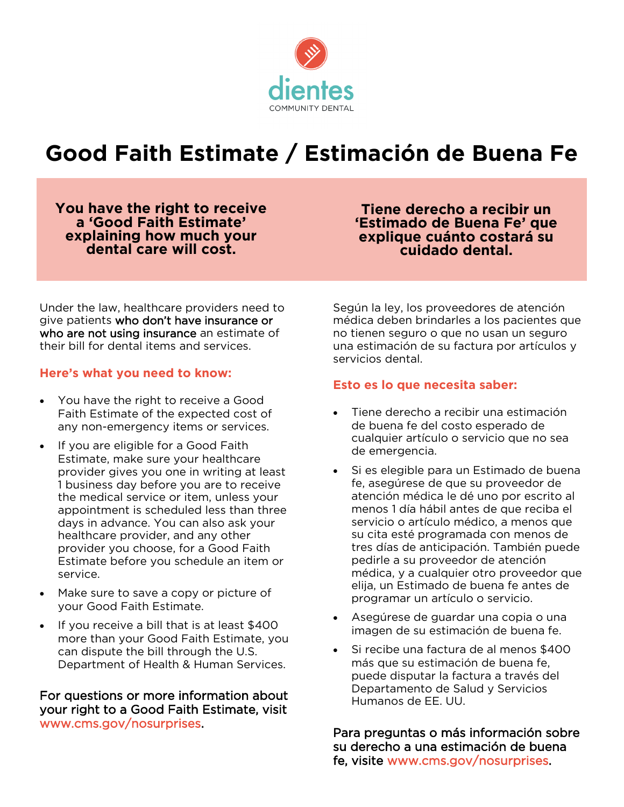

# **Good Faith Estimate / Estimación de Buena Fe**

**You have the right to receive a 'Good Faith Estimate' explaining how much your dental care will cost.**

**Tiene derecho a recibir un 'Estimado de Buena Fe' que explique cuánto costará su cuidado dental.**

Under the law, healthcare providers need to give patients who don't have insurance or who are not using insurance an estimate of their bill for dental items and services.

#### **Here's what you need to know:**

- You have the right to receive a Good Faith Estimate of the expected cost of any non-emergency items or services.
- If you are eligible for a Good Faith Estimate, make sure your healthcare provider gives you one in writing at least 1 business day before you are to receive the medical service or item, unless your appointment is scheduled less than three days in advance. You can also ask your healthcare provider, and any other provider you choose, for a Good Faith Estimate before you schedule an item or service.
- Make sure to save a copy or picture of your Good Faith Estimate.
- If you receive a bill that is at least \$400 more than your Good Faith Estimate, you can dispute the bill through the U.S. Department of Health & Human Services.

For questions or more information about your right to a Good Faith Estimate, visit www.cms.gov/nosurprises.

Según la ley, los proveedores de atención médica deben brindarles a los pacientes que no tienen seguro o que no usan un seguro una estimación de su factura por artículos y servicios dental.

## **Esto es lo que necesita saber:**

- Tiene derecho a recibir una estimación de buena fe del costo esperado de cualquier artículo o servicio que no sea de emergencia.
- Si es elegible para un Estimado de buena fe, asegúrese de que su proveedor de atención médica le dé uno por escrito al menos 1 día hábil antes de que reciba el servicio o artículo médico, a menos que su cita esté programada con menos de tres días de anticipación. También puede pedirle a su proveedor de atención médica, y a cualquier otro proveedor que elija, un Estimado de buena fe antes de programar un artículo o servicio.
- Asegúrese de guardar una copia o una imagen de su estimación de buena fe.
- Si recibe una factura de al menos \$400 más que su estimación de buena fe, puede disputar la factura a través del Departamento de Salud y Servicios Humanos de EE. UU.

Para preguntas o más información sobre su derecho a una estimación de buena fe, visite www.cms.gov/nosurprises.